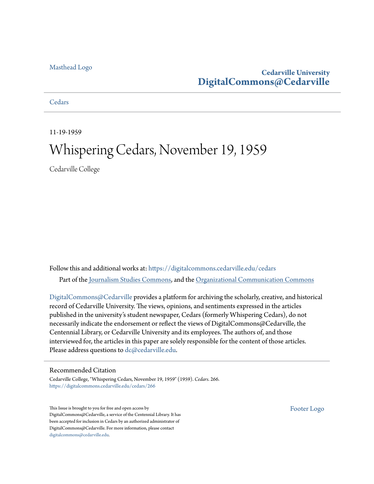## [Masthead Logo](http://www.cedarville.edu/?utm_source=digitalcommons.cedarville.edu%2Fcedars%2F266&utm_medium=PDF&utm_campaign=PDFCoverPages)

## **Cedarville University [DigitalCommons@Cedarville](https://digitalcommons.cedarville.edu?utm_source=digitalcommons.cedarville.edu%2Fcedars%2F266&utm_medium=PDF&utm_campaign=PDFCoverPages)**

## **[Cedars](https://digitalcommons.cedarville.edu/cedars?utm_source=digitalcommons.cedarville.edu%2Fcedars%2F266&utm_medium=PDF&utm_campaign=PDFCoverPages)**

11-19-1959

# Whispering Cedars, November 19, 1959

Cedarville College

Follow this and additional works at: [https://digitalcommons.cedarville.edu/cedars](https://digitalcommons.cedarville.edu/cedars?utm_source=digitalcommons.cedarville.edu%2Fcedars%2F266&utm_medium=PDF&utm_campaign=PDFCoverPages) Part of the [Journalism Studies Commons](http://network.bepress.com/hgg/discipline/333?utm_source=digitalcommons.cedarville.edu%2Fcedars%2F266&utm_medium=PDF&utm_campaign=PDFCoverPages), and the [Organizational Communication Commons](http://network.bepress.com/hgg/discipline/335?utm_source=digitalcommons.cedarville.edu%2Fcedars%2F266&utm_medium=PDF&utm_campaign=PDFCoverPages)

[DigitalCommons@Cedarville](http://digitalcommons.cedarville.edu/) provides a platform for archiving the scholarly, creative, and historical record of Cedarville University. The views, opinions, and sentiments expressed in the articles published in the university's student newspaper, Cedars (formerly Whispering Cedars), do not necessarily indicate the endorsement or reflect the views of DigitalCommons@Cedarville, the Centennial Library, or Cedarville University and its employees. The authors of, and those interviewed for, the articles in this paper are solely responsible for the content of those articles. Please address questions to [dc@cedarville.edu.](mailto:dc@cedarville.edu)

#### Recommended Citation

Cedarville College, "Whispering Cedars, November 19, 1959" (1959). *Cedars*. 266. [https://digitalcommons.cedarville.edu/cedars/266](https://digitalcommons.cedarville.edu/cedars/266?utm_source=digitalcommons.cedarville.edu%2Fcedars%2F266&utm_medium=PDF&utm_campaign=PDFCoverPages)

This Issue is brought to you for free and open access by DigitalCommons@Cedarville, a service of the Centennial Library. It has been accepted for inclusion in Cedars by an authorized administrator of DigitalCommons@Cedarville. For more information, please contact [digitalcommons@cedarville.edu](mailto:digitalcommons@cedarville.edu).

[Footer Logo](http://www.cedarville.edu/Academics/Library.aspx?utm_source=digitalcommons.cedarville.edu%2Fcedars%2F266&utm_medium=PDF&utm_campaign=PDFCoverPages)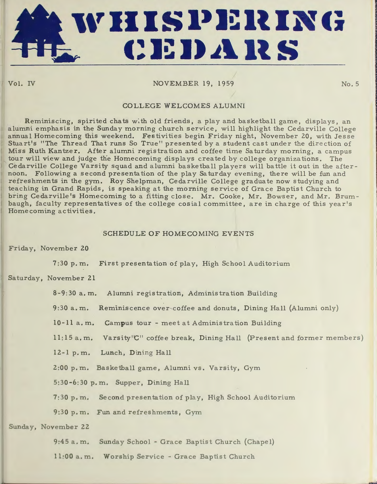

Vol. IV

## NOVEMBER 19, 1959

*/* 

No. 5

**In the United States** 

## COLLEGE WELCOMES ALUMNI

Reminiscing, spirited chats with old friends, a play and basketball game, displays, an alumni emphasis in the Sunday morning church service, will highlight the Cedarville College annual Homecoming this weekend. Festivities begin Friday night, November 20, with Jesse Stuart's "The Thread That runs So True" presented by a student cast under the direction of Miss Ruth Kantzer. After alumni registration and coffee time Saturday morning, a campus tour will view and judge the Homecoming displays created by college organiza tions. The Cedarville College Varsity squad and alumni basketball players will battle it out in the afternoon. Following a second presentation of the play Saturday evening, there will be fun and refreshments in the gym. Roy Shelpman, Cedarville College graduate now studying and teaching in Grand Rapids, is speaking at the morning service of Grace Baptist Church to bring Cedarville's Homecoming to a fitting close. Mr. Cooke, Mr. Bowser, and Mr. Brumbaugh, faculty representatives of the college cosial committee, are in charge of this year's Home coming activities.

## SCHEDULE OF HOMECOMING EVENTS

Friday, November 20

7 :30 p.m. First presentation of play, High School Auditorium

Saturday, November 21

8-9:30 a.m. Alumni registration, Administration Building

9:30 a.m. Reminiscence over-coffee and donuts, Dining Hall (Alumni only)

10-11 a.m. Campus tour - meet at Administration Building

11:15 a.m. Varsity'C" coffee break, Dining Hall (Present and former members)

12-1 p. m. Lunch, Dining Hall

2:00 p.m. Basketball game, Alumni vs. Varsity, Gym

5:30-6:30 p.m. Supper, Dining Hall

7:30 p.m. Second presentation of play, High School Auditorium

9:30 p.m. Fun and refreshments, Gym

Sunday, November 22

9:45 a.m. Sunday School - Grace Baptist Church (Chapel)

11:00 a.m. Worship Service - Grace Baptist Church